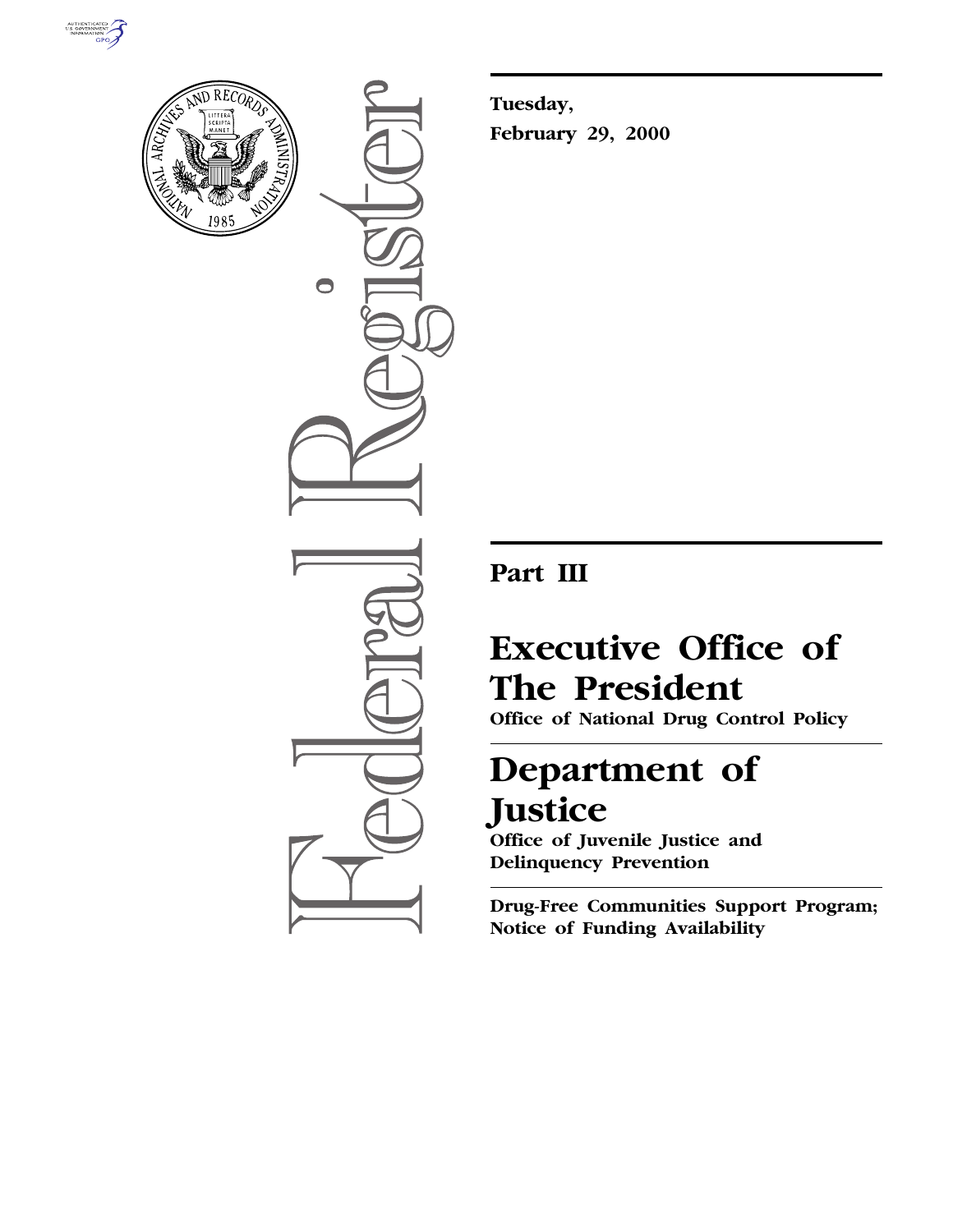



 $\bigcirc$ 

**Tuesday, February 29, 2000**

# **Part III**

# **Executive Office of The President**

**Office of National Drug Control Policy**

# **Department of Justice**

**Office of Juvenile Justice and Delinquency Prevention**

**Drug-Free Communities Support Program; Notice of Funding Availability**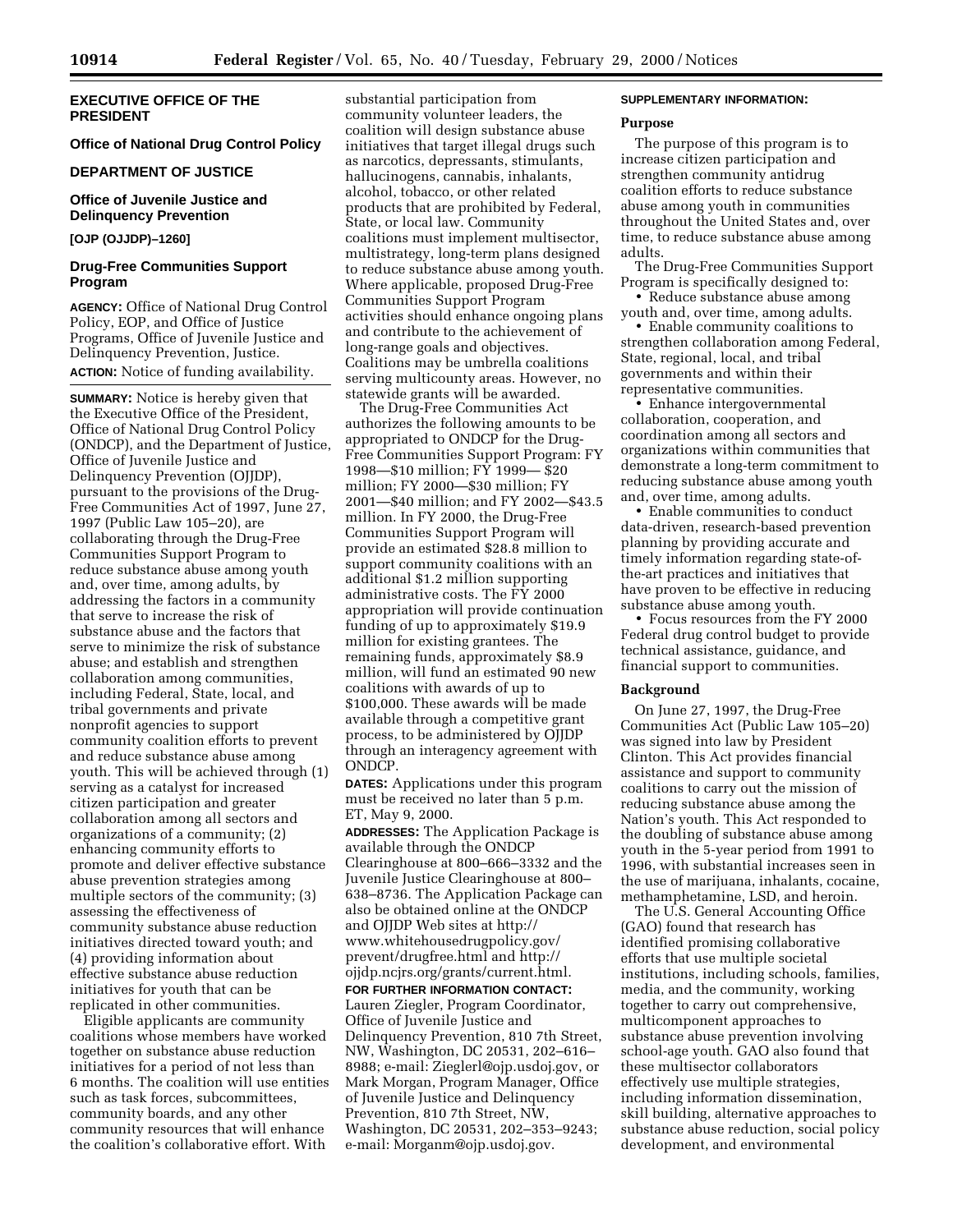# **EXECUTIVE OFFICE OF THE PRESIDENT**

# **Office of National Drug Control Policy**

# **DEPARTMENT OF JUSTICE**

# **Office of Juvenile Justice and Delinquency Prevention**

# **[OJP (OJJDP)–1260]**

# **Drug-Free Communities Support Program**

**AGENCY:** Office of National Drug Control Policy, EOP, and Office of Justice Programs, Office of Juvenile Justice and Delinquency Prevention, Justice. **ACTION:** Notice of funding availability.

**SUMMARY:** Notice is hereby given that the Executive Office of the President, Office of National Drug Control Policy (ONDCP), and the Department of Justice, Office of Juvenile Justice and Delinquency Prevention (OJJDP), pursuant to the provisions of the Drug-Free Communities Act of 1997, June 27, 1997 (Public Law 105–20), are collaborating through the Drug-Free Communities Support Program to reduce substance abuse among youth and, over time, among adults, by addressing the factors in a community that serve to increase the risk of substance abuse and the factors that serve to minimize the risk of substance abuse; and establish and strengthen collaboration among communities, including Federal, State, local, and tribal governments and private nonprofit agencies to support community coalition efforts to prevent and reduce substance abuse among youth. This will be achieved through (1) serving as a catalyst for increased citizen participation and greater collaboration among all sectors and organizations of a community; (2) enhancing community efforts to promote and deliver effective substance abuse prevention strategies among multiple sectors of the community; (3) assessing the effectiveness of community substance abuse reduction initiatives directed toward youth; and (4) providing information about effective substance abuse reduction initiatives for youth that can be replicated in other communities.

Eligible applicants are community coalitions whose members have worked together on substance abuse reduction initiatives for a period of not less than 6 months. The coalition will use entities such as task forces, subcommittees, community boards, and any other community resources that will enhance the coalition's collaborative effort. With

substantial participation from community volunteer leaders, the coalition will design substance abuse initiatives that target illegal drugs such as narcotics, depressants, stimulants, hallucinogens, cannabis, inhalants, alcohol, tobacco, or other related products that are prohibited by Federal, State, or local law. Community coalitions must implement multisector, multistrategy, long-term plans designed to reduce substance abuse among youth. Where applicable, proposed Drug-Free Communities Support Program activities should enhance ongoing plans and contribute to the achievement of long-range goals and objectives. Coalitions may be umbrella coalitions serving multicounty areas. However, no statewide grants will be awarded.

The Drug-Free Communities Act authorizes the following amounts to be appropriated to ONDCP for the Drug-Free Communities Support Program: FY 1998—\$10 million; FY 1999— \$20 million; FY 2000—\$30 million; FY 2001—\$40 million; and FY 2002—\$43.5 million. In FY 2000, the Drug-Free Communities Support Program will provide an estimated \$28.8 million to support community coalitions with an additional \$1.2 million supporting administrative costs. The FY 2000 appropriation will provide continuation funding of up to approximately \$19.9 million for existing grantees. The remaining funds, approximately \$8.9 million, will fund an estimated 90 new coalitions with awards of up to \$100,000. These awards will be made available through a competitive grant process, to be administered by OJJDP through an interagency agreement with ONDCP.

**DATES:** Applications under this program must be received no later than 5 p.m. ET, May 9, 2000.

**ADDRESSES:** The Application Package is available through the ONDCP Clearinghouse at 800–666–3332 and the Juvenile Justice Clearinghouse at 800– 638–8736. The Application Package can also be obtained online at the ONDCP and OJJDP Web sites at http:// www.whitehousedrugpolicy.gov/ prevent/drugfree.html and http:// ojjdp.ncjrs.org/grants/current.html. **FOR FURTHER INFORMATION CONTACT:**

Lauren Ziegler, Program Coordinator, Office of Juvenile Justice and Delinquency Prevention, 810 7th Street, NW, Washington, DC 20531, 202–616– 8988; e-mail: Zieglerl@ojp.usdoj.gov, or Mark Morgan, Program Manager, Office of Juvenile Justice and Delinquency Prevention, 810 7th Street, NW, Washington, DC 20531, 202–353–9243; e-mail: Morganm@ojp.usdoj.gov.

# **SUPPLEMENTARY INFORMATION:**

#### **Purpose**

The purpose of this program is to increase citizen participation and strengthen community antidrug coalition efforts to reduce substance abuse among youth in communities throughout the United States and, over time, to reduce substance abuse among adults.

The Drug-Free Communities Support Program is specifically designed to:

• Reduce substance abuse among youth and, over time, among adults.

• Enable community coalitions to strengthen collaboration among Federal, State, regional, local, and tribal governments and within their representative communities.

• Enhance intergovernmental collaboration, cooperation, and coordination among all sectors and organizations within communities that demonstrate a long-term commitment to reducing substance abuse among youth and, over time, among adults.

• Enable communities to conduct data-driven, research-based prevention planning by providing accurate and timely information regarding state-ofthe-art practices and initiatives that have proven to be effective in reducing substance abuse among youth.

• Focus resources from the FY 2000 Federal drug control budget to provide technical assistance, guidance, and financial support to communities.

#### **Background**

On June 27, 1997, the Drug-Free Communities Act (Public Law 105–20) was signed into law by President Clinton. This Act provides financial assistance and support to community coalitions to carry out the mission of reducing substance abuse among the Nation's youth. This Act responded to the doubling of substance abuse among youth in the 5-year period from 1991 to 1996, with substantial increases seen in the use of marijuana, inhalants, cocaine, methamphetamine, LSD, and heroin.

The U.S. General Accounting Office (GAO) found that research has identified promising collaborative efforts that use multiple societal institutions, including schools, families, media, and the community, working together to carry out comprehensive, multicomponent approaches to substance abuse prevention involving school-age youth. GAO also found that these multisector collaborators effectively use multiple strategies, including information dissemination, skill building, alternative approaches to substance abuse reduction, social policy development, and environmental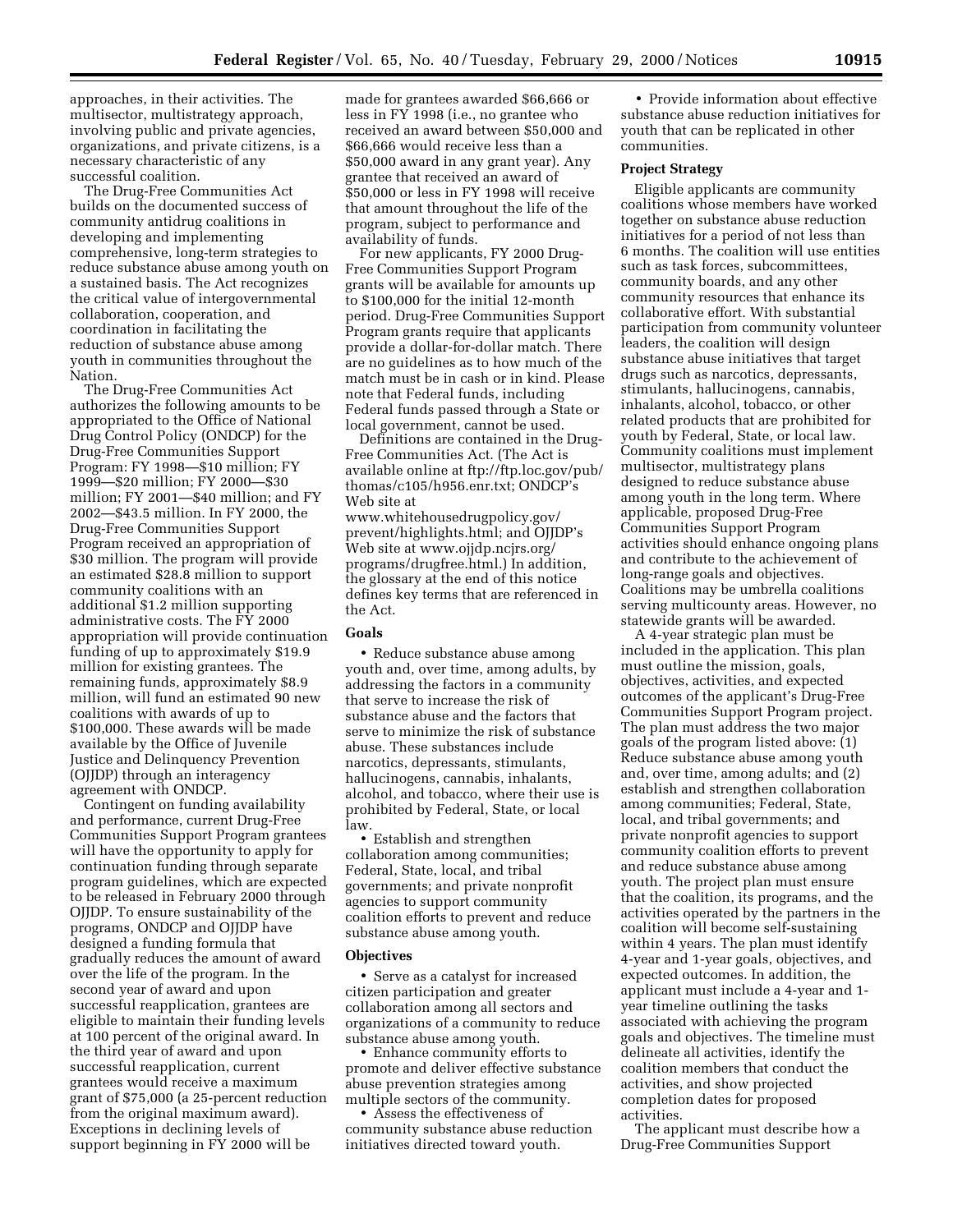approaches, in their activities. The multisector, multistrategy approach, involving public and private agencies, organizations, and private citizens, is a necessary characteristic of any successful coalition.

The Drug-Free Communities Act builds on the documented success of community antidrug coalitions in developing and implementing comprehensive, long-term strategies to reduce substance abuse among youth on a sustained basis. The Act recognizes the critical value of intergovernmental collaboration, cooperation, and coordination in facilitating the reduction of substance abuse among youth in communities throughout the Nation.

The Drug-Free Communities Act authorizes the following amounts to be appropriated to the Office of National Drug Control Policy (ONDCP) for the Drug-Free Communities Support Program: FY 1998—\$10 million; FY 1999—\$20 million; FY 2000—\$30 million; FY 2001—\$40 million; and FY 2002—\$43.5 million. In FY 2000, the Drug-Free Communities Support Program received an appropriation of \$30 million. The program will provide an estimated \$28.8 million to support community coalitions with an additional \$1.2 million supporting administrative costs. The FY 2000 appropriation will provide continuation funding of up to approximately \$19.9 million for existing grantees. The remaining funds, approximately \$8.9 million, will fund an estimated 90 new coalitions with awards of up to \$100,000. These awards will be made available by the Office of Juvenile Justice and Delinquency Prevention (OJJDP) through an interagency agreement with ONDCP.

Contingent on funding availability and performance, current Drug-Free Communities Support Program grantees will have the opportunity to apply for continuation funding through separate program guidelines, which are expected to be released in February 2000 through OJJDP. To ensure sustainability of the programs, ONDCP and OJJDP have designed a funding formula that gradually reduces the amount of award over the life of the program. In the second year of award and upon successful reapplication, grantees are eligible to maintain their funding levels at 100 percent of the original award. In the third year of award and upon successful reapplication, current grantees would receive a maximum grant of \$75,000 (a 25-percent reduction from the original maximum award). Exceptions in declining levels of support beginning in FY 2000 will be

made for grantees awarded \$66,666 or less in FY 1998 (i.e., no grantee who received an award between \$50,000 and \$66,666 would receive less than a \$50,000 award in any grant year). Any grantee that received an award of \$50,000 or less in FY 1998 will receive that amount throughout the life of the program, subject to performance and availability of funds.

For new applicants, FY 2000 Drug-Free Communities Support Program grants will be available for amounts up to \$100,000 for the initial 12-month period. Drug-Free Communities Support Program grants require that applicants provide a dollar-for-dollar match. There are no guidelines as to how much of the match must be in cash or in kind. Please note that Federal funds, including Federal funds passed through a State or local government, cannot be used.

Definitions are contained in the Drug-Free Communities Act. (The Act is available online at ftp://ftp.loc.gov/pub/ thomas/c105/h956.enr.txt; ONDCP's Web site at

www.whitehousedrugpolicy.gov/ prevent/highlights.html; and OJJDP's Web site at www.ojjdp.ncjrs.org/ programs/drugfree.html.) In addition, the glossary at the end of this notice defines key terms that are referenced in the Act.

### **Goals**

• Reduce substance abuse among youth and, over time, among adults, by addressing the factors in a community that serve to increase the risk of substance abuse and the factors that serve to minimize the risk of substance abuse. These substances include narcotics, depressants, stimulants, hallucinogens, cannabis, inhalants, alcohol, and tobacco, where their use is prohibited by Federal, State, or local law.

• Establish and strengthen collaboration among communities; Federal, State, local, and tribal governments; and private nonprofit agencies to support community coalition efforts to prevent and reduce substance abuse among youth.

# **Objectives**

• Serve as a catalyst for increased citizen participation and greater collaboration among all sectors and organizations of a community to reduce substance abuse among youth.

• Enhance community efforts to promote and deliver effective substance abuse prevention strategies among multiple sectors of the community.

• Assess the effectiveness of community substance abuse reduction initiatives directed toward youth.

• Provide information about effective substance abuse reduction initiatives for youth that can be replicated in other communities.

#### **Project Strategy**

Eligible applicants are community coalitions whose members have worked together on substance abuse reduction initiatives for a period of not less than 6 months. The coalition will use entities such as task forces, subcommittees, community boards, and any other community resources that enhance its collaborative effort. With substantial participation from community volunteer leaders, the coalition will design substance abuse initiatives that target drugs such as narcotics, depressants, stimulants, hallucinogens, cannabis, inhalants, alcohol, tobacco, or other related products that are prohibited for youth by Federal, State, or local law. Community coalitions must implement multisector, multistrategy plans designed to reduce substance abuse among youth in the long term. Where applicable, proposed Drug-Free Communities Support Program activities should enhance ongoing plans and contribute to the achievement of long-range goals and objectives. Coalitions may be umbrella coalitions serving multicounty areas. However, no statewide grants will be awarded.

A 4-year strategic plan must be included in the application. This plan must outline the mission, goals, objectives, activities, and expected outcomes of the applicant's Drug-Free Communities Support Program project. The plan must address the two major goals of the program listed above: (1) Reduce substance abuse among youth and, over time, among adults; and (2) establish and strengthen collaboration among communities; Federal, State, local, and tribal governments; and private nonprofit agencies to support community coalition efforts to prevent and reduce substance abuse among youth. The project plan must ensure that the coalition, its programs, and the activities operated by the partners in the coalition will become self-sustaining within 4 years. The plan must identify 4-year and 1-year goals, objectives, and expected outcomes. In addition, the applicant must include a 4-year and 1 year timeline outlining the tasks associated with achieving the program goals and objectives. The timeline must delineate all activities, identify the coalition members that conduct the activities, and show projected completion dates for proposed activities.

The applicant must describe how a Drug-Free Communities Support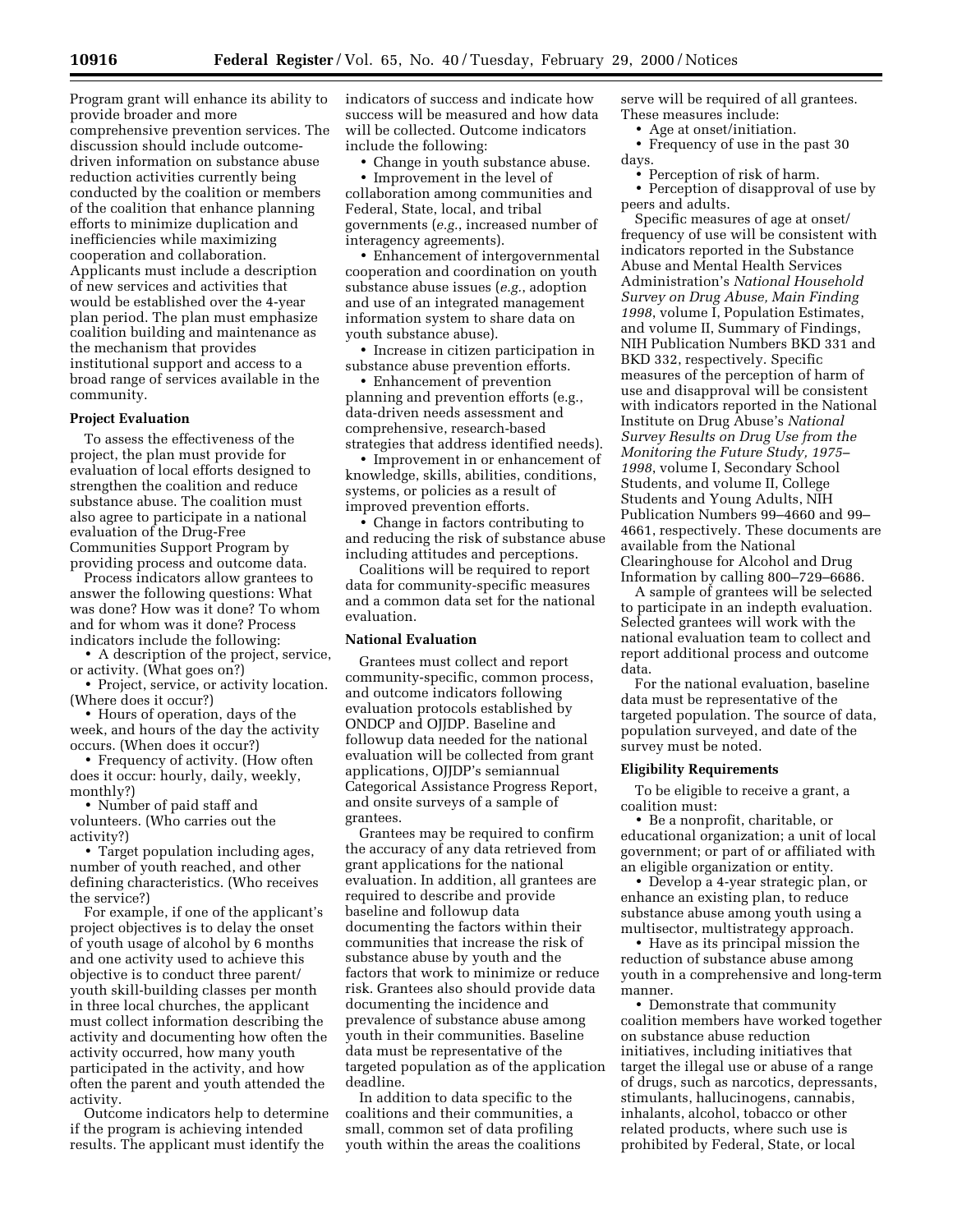Program grant will enhance its ability to provide broader and more comprehensive prevention services. The discussion should include outcomedriven information on substance abuse reduction activities currently being conducted by the coalition or members of the coalition that enhance planning efforts to minimize duplication and inefficiencies while maximizing cooperation and collaboration. Applicants must include a description of new services and activities that would be established over the 4-year plan period. The plan must emphasize coalition building and maintenance as the mechanism that provides institutional support and access to a broad range of services available in the community.

#### **Project Evaluation**

To assess the effectiveness of the project, the plan must provide for evaluation of local efforts designed to strengthen the coalition and reduce substance abuse. The coalition must also agree to participate in a national evaluation of the Drug-Free Communities Support Program by providing process and outcome data.

Process indicators allow grantees to answer the following questions: What was done? How was it done? To whom and for whom was it done? Process indicators include the following:

• A description of the project, service, or activity. (What goes on?)

• Project, service, or activity location. (Where does it occur?)

• Hours of operation, days of the week, and hours of the day the activity occurs. (When does it occur?)

• Frequency of activity. (How often does it occur: hourly, daily, weekly, monthly?)

• Number of paid staff and volunteers. (Who carries out the activity?)

• Target population including ages, number of youth reached, and other defining characteristics. (Who receives the service?)

For example, if one of the applicant's project objectives is to delay the onset of youth usage of alcohol by 6 months and one activity used to achieve this objective is to conduct three parent/ youth skill-building classes per month in three local churches, the applicant must collect information describing the activity and documenting how often the activity occurred, how many youth participated in the activity, and how often the parent and youth attended the activity.

Outcome indicators help to determine if the program is achieving intended results. The applicant must identify the

indicators of success and indicate how success will be measured and how data will be collected. Outcome indicators include the following:

• Change in youth substance abuse.

• Improvement in the level of collaboration among communities and Federal, State, local, and tribal governments (*e.g.*, increased number of interagency agreements).

• Enhancement of intergovernmental cooperation and coordination on youth substance abuse issues (*e.g.*, adoption and use of an integrated management information system to share data on youth substance abuse).

• Increase in citizen participation in substance abuse prevention efforts.

• Enhancement of prevention planning and prevention efforts (e.g., data-driven needs assessment and comprehensive, research-based strategies that address identified needs).

• Improvement in or enhancement of knowledge, skills, abilities, conditions, systems, or policies as a result of improved prevention efforts.

• Change in factors contributing to and reducing the risk of substance abuse including attitudes and perceptions.

Coalitions will be required to report data for community-specific measures and a common data set for the national evaluation.

# **National Evaluation**

Grantees must collect and report community-specific, common process, and outcome indicators following evaluation protocols established by ONDCP and OJJDP. Baseline and followup data needed for the national evaluation will be collected from grant applications, OJJDP's semiannual Categorical Assistance Progress Report, and onsite surveys of a sample of grantees.

Grantees may be required to confirm the accuracy of any data retrieved from grant applications for the national evaluation. In addition, all grantees are required to describe and provide baseline and followup data documenting the factors within their communities that increase the risk of substance abuse by youth and the factors that work to minimize or reduce risk. Grantees also should provide data documenting the incidence and prevalence of substance abuse among youth in their communities. Baseline data must be representative of the targeted population as of the application deadline.

In addition to data specific to the coalitions and their communities, a small, common set of data profiling youth within the areas the coalitions serve will be required of all grantees. These measures include:

• Age at onset/initiation.

• Frequency of use in the past 30 days.

• Perception of risk of harm.

• Perception of disapproval of use by peers and adults.

Specific measures of age at onset/ frequency of use will be consistent with indicators reported in the Substance Abuse and Mental Health Services Administration's *National Household Survey on Drug Abuse, Main Finding 1998*, volume I, Population Estimates, and volume II, Summary of Findings, NIH Publication Numbers BKD 331 and BKD 332, respectively. Specific measures of the perception of harm of use and disapproval will be consistent with indicators reported in the National Institute on Drug Abuse's *National Survey Results on Drug Use from the Monitoring the Future Study, 1975– 1998*, volume I, Secondary School Students, and volume II, College Students and Young Adults, NIH Publication Numbers 99–4660 and 99– 4661, respectively. These documents are available from the National Clearinghouse for Alcohol and Drug Information by calling 800–729–6686.

A sample of grantees will be selected to participate in an indepth evaluation. Selected grantees will work with the national evaluation team to collect and report additional process and outcome data.

For the national evaluation, baseline data must be representative of the targeted population. The source of data, population surveyed, and date of the survey must be noted.

#### **Eligibility Requirements**

To be eligible to receive a grant, a coalition must:

• Be a nonprofit, charitable, or educational organization; a unit of local government; or part of or affiliated with an eligible organization or entity.

• Develop a 4-year strategic plan, or enhance an existing plan, to reduce substance abuse among youth using a multisector, multistrategy approach.

• Have as its principal mission the reduction of substance abuse among youth in a comprehensive and long-term manner.

• Demonstrate that community coalition members have worked together on substance abuse reduction initiatives, including initiatives that target the illegal use or abuse of a range of drugs, such as narcotics, depressants, stimulants, hallucinogens, cannabis, inhalants, alcohol, tobacco or other related products, where such use is prohibited by Federal, State, or local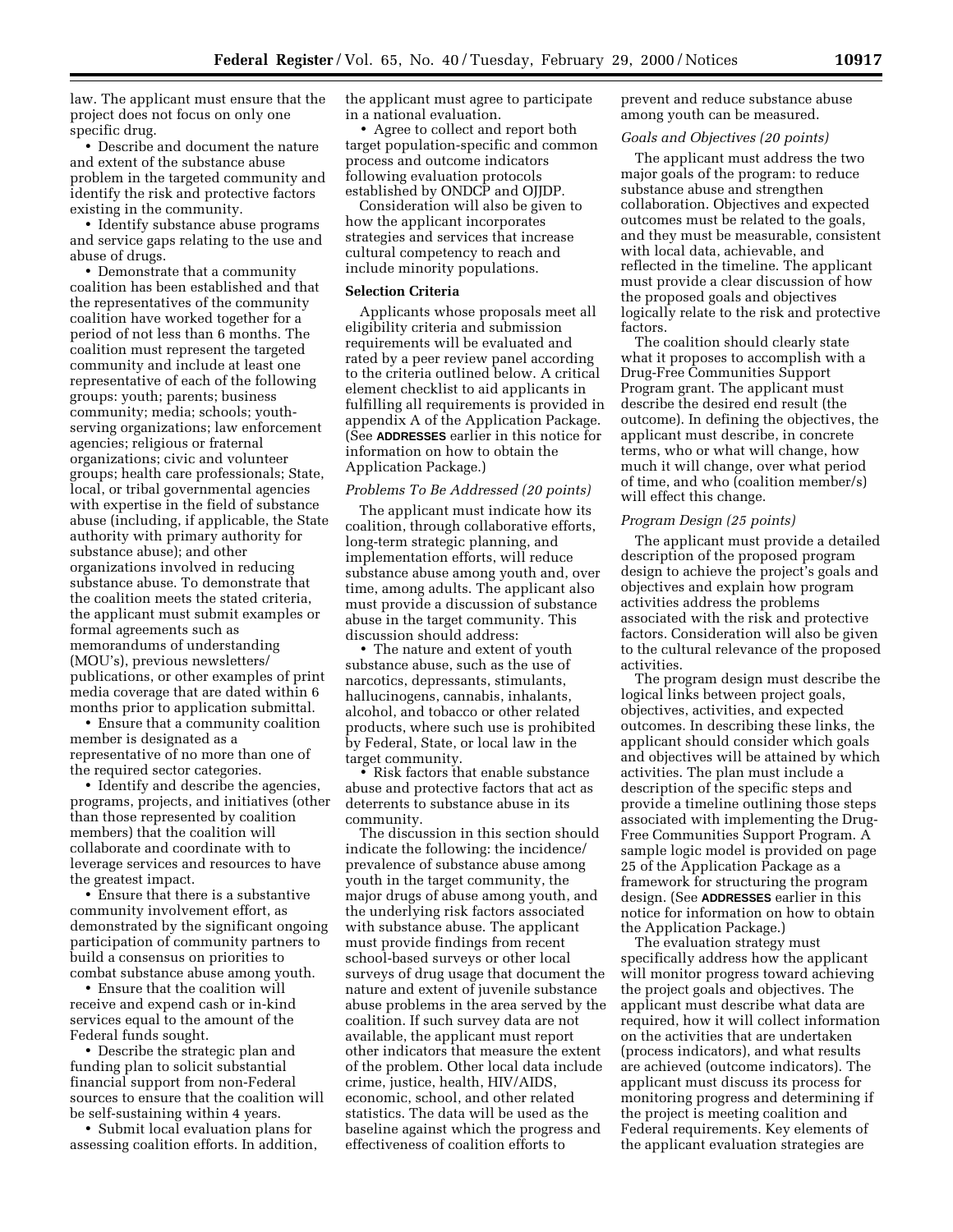law. The applicant must ensure that the project does not focus on only one specific drug.

• Describe and document the nature and extent of the substance abuse problem in the targeted community and identify the risk and protective factors existing in the community.

• Identify substance abuse programs and service gaps relating to the use and abuse of drugs.

• Demonstrate that a community coalition has been established and that the representatives of the community coalition have worked together for a period of not less than 6 months. The coalition must represent the targeted community and include at least one representative of each of the following groups: youth; parents; business community; media; schools; youthserving organizations; law enforcement agencies; religious or fraternal organizations; civic and volunteer groups; health care professionals; State, local, or tribal governmental agencies with expertise in the field of substance abuse (including, if applicable, the State authority with primary authority for substance abuse); and other organizations involved in reducing substance abuse. To demonstrate that the coalition meets the stated criteria, the applicant must submit examples or formal agreements such as memorandums of understanding (MOU's), previous newsletters/ publications, or other examples of print media coverage that are dated within 6 months prior to application submittal.

• Ensure that a community coalition member is designated as a representative of no more than one of the required sector categories.

• Identify and describe the agencies, programs, projects, and initiatives (other than those represented by coalition members) that the coalition will collaborate and coordinate with to leverage services and resources to have the greatest impact.

• Ensure that there is a substantive community involvement effort, as demonstrated by the significant ongoing participation of community partners to build a consensus on priorities to combat substance abuse among youth.

• Ensure that the coalition will receive and expend cash or in-kind services equal to the amount of the Federal funds sought.

• Describe the strategic plan and funding plan to solicit substantial financial support from non-Federal sources to ensure that the coalition will be self-sustaining within 4 years.

• Submit local evaluation plans for assessing coalition efforts. In addition, the applicant must agree to participate in a national evaluation.

• Agree to collect and report both target population-specific and common process and outcome indicators following evaluation protocols established by ONDCP and OJJDP.

Consideration will also be given to how the applicant incorporates strategies and services that increase cultural competency to reach and include minority populations.

### **Selection Criteria**

Applicants whose proposals meet all eligibility criteria and submission requirements will be evaluated and rated by a peer review panel according to the criteria outlined below. A critical element checklist to aid applicants in fulfilling all requirements is provided in appendix A of the Application Package. (See **ADDRESSES** earlier in this notice for information on how to obtain the Application Package.)

# *Problems To Be Addressed (20 points)*

The applicant must indicate how its coalition, through collaborative efforts, long-term strategic planning, and implementation efforts, will reduce substance abuse among youth and, over time, among adults. The applicant also must provide a discussion of substance abuse in the target community. This discussion should address:

• The nature and extent of youth substance abuse, such as the use of narcotics, depressants, stimulants, hallucinogens, cannabis, inhalants, alcohol, and tobacco or other related products, where such use is prohibited by Federal, State, or local law in the target community.

• Risk factors that enable substance abuse and protective factors that act as deterrents to substance abuse in its community.

The discussion in this section should indicate the following: the incidence/ prevalence of substance abuse among youth in the target community, the major drugs of abuse among youth, and the underlying risk factors associated with substance abuse. The applicant must provide findings from recent school-based surveys or other local surveys of drug usage that document the nature and extent of juvenile substance abuse problems in the area served by the coalition. If such survey data are not available, the applicant must report other indicators that measure the extent of the problem. Other local data include crime, justice, health, HIV/AIDS, economic, school, and other related statistics. The data will be used as the baseline against which the progress and effectiveness of coalition efforts to

prevent and reduce substance abuse among youth can be measured.

#### *Goals and Objectives (20 points)*

The applicant must address the two major goals of the program: to reduce substance abuse and strengthen collaboration. Objectives and expected outcomes must be related to the goals, and they must be measurable, consistent with local data, achievable, and reflected in the timeline. The applicant must provide a clear discussion of how the proposed goals and objectives logically relate to the risk and protective factors.

The coalition should clearly state what it proposes to accomplish with a Drug-Free Communities Support Program grant. The applicant must describe the desired end result (the outcome). In defining the objectives, the applicant must describe, in concrete terms, who or what will change, how much it will change, over what period of time, and who (coalition member/s) will effect this change.

#### *Program Design (25 points)*

The applicant must provide a detailed description of the proposed program design to achieve the project's goals and objectives and explain how program activities address the problems associated with the risk and protective factors. Consideration will also be given to the cultural relevance of the proposed activities.

The program design must describe the logical links between project goals, objectives, activities, and expected outcomes. In describing these links, the applicant should consider which goals and objectives will be attained by which activities. The plan must include a description of the specific steps and provide a timeline outlining those steps associated with implementing the Drug-Free Communities Support Program. A sample logic model is provided on page 25 of the Application Package as a framework for structuring the program design. (See **ADDRESSES** earlier in this notice for information on how to obtain the Application Package.)

The evaluation strategy must specifically address how the applicant will monitor progress toward achieving the project goals and objectives. The applicant must describe what data are required, how it will collect information on the activities that are undertaken (process indicators), and what results are achieved (outcome indicators). The applicant must discuss its process for monitoring progress and determining if the project is meeting coalition and Federal requirements. Key elements of the applicant evaluation strategies are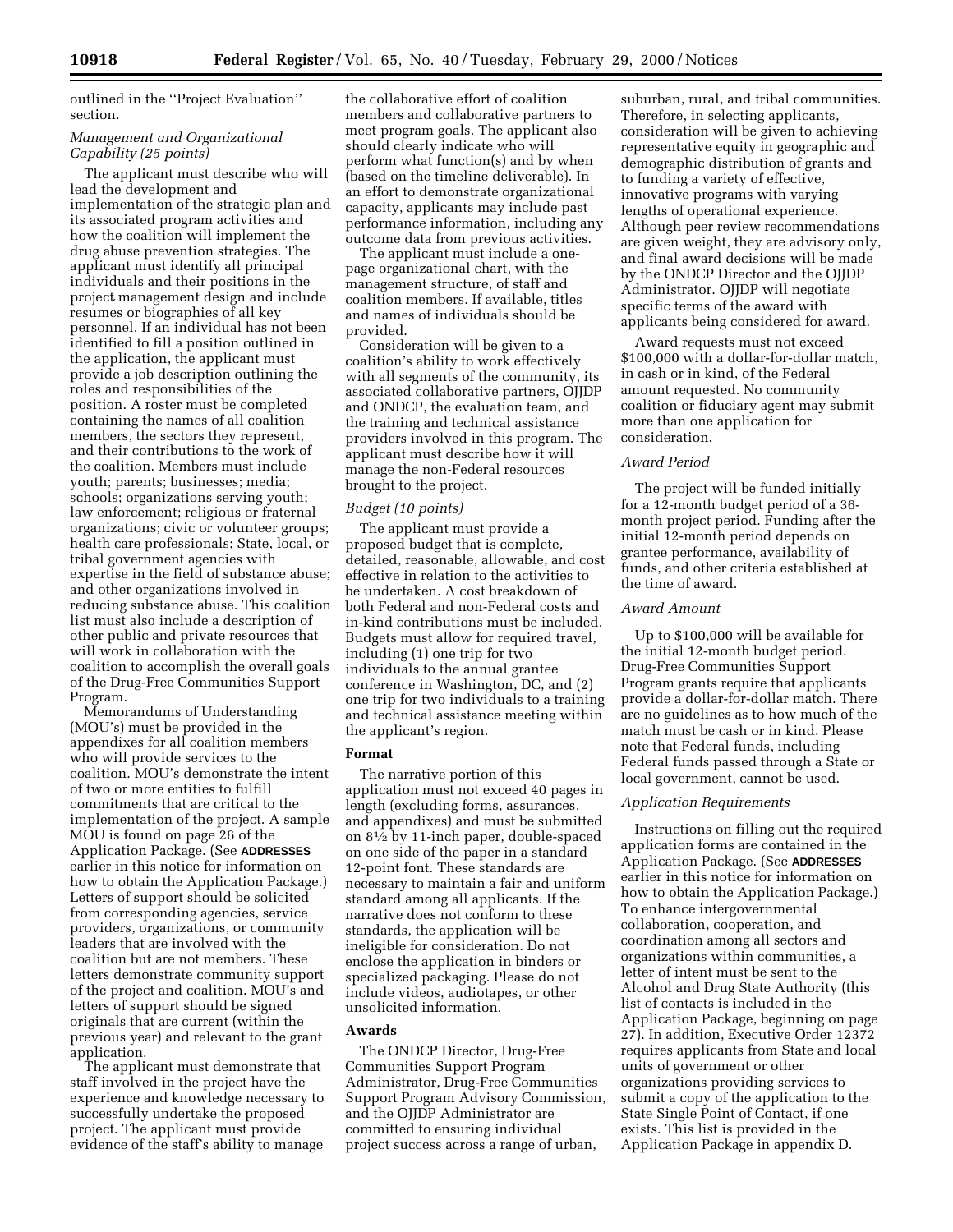outlined in the ''Project Evaluation'' section.

# *Management and Organizational Capability (25 points)*

The applicant must describe who will lead the development and implementation of the strategic plan and its associated program activities and how the coalition will implement the drug abuse prevention strategies. The applicant must identify all principal individuals and their positions in the project management design and include project management design and i<br>resumes or biographies of all key personnel. If an individual has not been identified to fill a position outlined in the application, the applicant must provide a job description outlining the roles and responsibilities of the position. A roster must be completed containing the names of all coalition members, the sectors they represent, and their contributions to the work of the coalition. Members must include youth; parents; businesses; media; schools; organizations serving youth; law enforcement; religious or fraternal organizations; civic or volunteer groups; health care professionals; State, local, or tribal government agencies with expertise in the field of substance abuse; and other organizations involved in reducing substance abuse. This coalition list must also include a description of other public and private resources that will work in collaboration with the coalition to accomplish the overall goals of the Drug-Free Communities Support Program.

Memorandums of Understanding (MOU's) must be provided in the appendixes for all coalition members who will provide services to the coalition. MOU's demonstrate the intent of two or more entities to fulfill commitments that are critical to the implementation of the project. A sample MOU is found on page 26 of the Application Package. (See **ADDRESSES** earlier in this notice for information on how to obtain the Application Package.) Letters of support should be solicited from corresponding agencies, service providers, organizations, or community leaders that are involved with the coalition but are not members. These letters demonstrate community support of the project and coalition. MOU's and letters of support should be signed originals that are current (within the previous year) and relevant to the grant application.

The applicant must demonstrate that staff involved in the project have the experience and knowledge necessary to successfully undertake the proposed project. The applicant must provide evidence of the staff's ability to manage

the collaborative effort of coalition members and collaborative partners to meet program goals. The applicant also should clearly indicate who will perform what function(s) and by when (based on the timeline deliverable). In an effort to demonstrate organizational capacity, applicants may include past performance information, including any outcome data from previous activities.

The applicant must include a onepage organizational chart, with the management structure, of staff and coalition members. If available, titles and names of individuals should be provided.

Consideration will be given to a coalition's ability to work effectively with all segments of the community, its associated collaborative partners, OJJDP and ONDCP, the evaluation team, and the training and technical assistance providers involved in this program. The applicant must describe how it will manage the non-Federal resources brought to the project.

#### *Budget (10 points)*

The applicant must provide a proposed budget that is complete, detailed, reasonable, allowable, and cost effective in relation to the activities to be undertaken. A cost breakdown of both Federal and non-Federal costs and in-kind contributions must be included. Budgets must allow for required travel, including (1) one trip for two individuals to the annual grantee conference in Washington, DC, and (2) one trip for two individuals to a training and technical assistance meeting within the applicant's region.

#### **Format**

The narrative portion of this application must not exceed 40 pages in length (excluding forms, assurances, and appendixes) and must be submitted on 81⁄2 by 11-inch paper, double-spaced on one side of the paper in a standard 12-point font. These standards are necessary to maintain a fair and uniform standard among all applicants. If the narrative does not conform to these standards, the application will be ineligible for consideration. Do not enclose the application in binders or specialized packaging. Please do not include videos, audiotapes, or other unsolicited information.

#### **Awards**

The ONDCP Director, Drug-Free Communities Support Program Administrator, Drug-Free Communities Support Program Advisory Commission, and the OJJDP Administrator are committed to ensuring individual project success across a range of urban,

suburban, rural, and tribal communities. Therefore, in selecting applicants, consideration will be given to achieving representative equity in geographic and demographic distribution of grants and to funding a variety of effective, innovative programs with varying lengths of operational experience. Although peer review recommendations are given weight, they are advisory only, and final award decisions will be made by the ONDCP Director and the OJJDP Administrator. OJJDP will negotiate specific terms of the award with applicants being considered for award.

Award requests must not exceed \$100,000 with a dollar-for-dollar match, in cash or in kind, of the Federal amount requested. No community coalition or fiduciary agent may submit more than one application for consideration.

#### *Award Period*

The project will be funded initially for a 12-month budget period of a 36 month project period. Funding after the initial 12-month period depends on grantee performance, availability of funds, and other criteria established at the time of award.

#### *Award Amount*

Up to \$100,000 will be available for the initial 12-month budget period. Drug-Free Communities Support Program grants require that applicants provide a dollar-for-dollar match. There are no guidelines as to how much of the match must be cash or in kind. Please note that Federal funds, including Federal funds passed through a State or local government, cannot be used.

#### *Application Requirements*

Instructions on filling out the required application forms are contained in the Application Package. (See **ADDRESSES** earlier in this notice for information on how to obtain the Application Package.) To enhance intergovernmental collaboration, cooperation, and coordination among all sectors and organizations within communities, a letter of intent must be sent to the Alcohol and Drug State Authority (this list of contacts is included in the Application Package, beginning on page 27). In addition, Executive Order 12372 requires applicants from State and local units of government or other organizations providing services to submit a copy of the application to the State Single Point of Contact, if one exists. This list is provided in the Application Package in appendix D.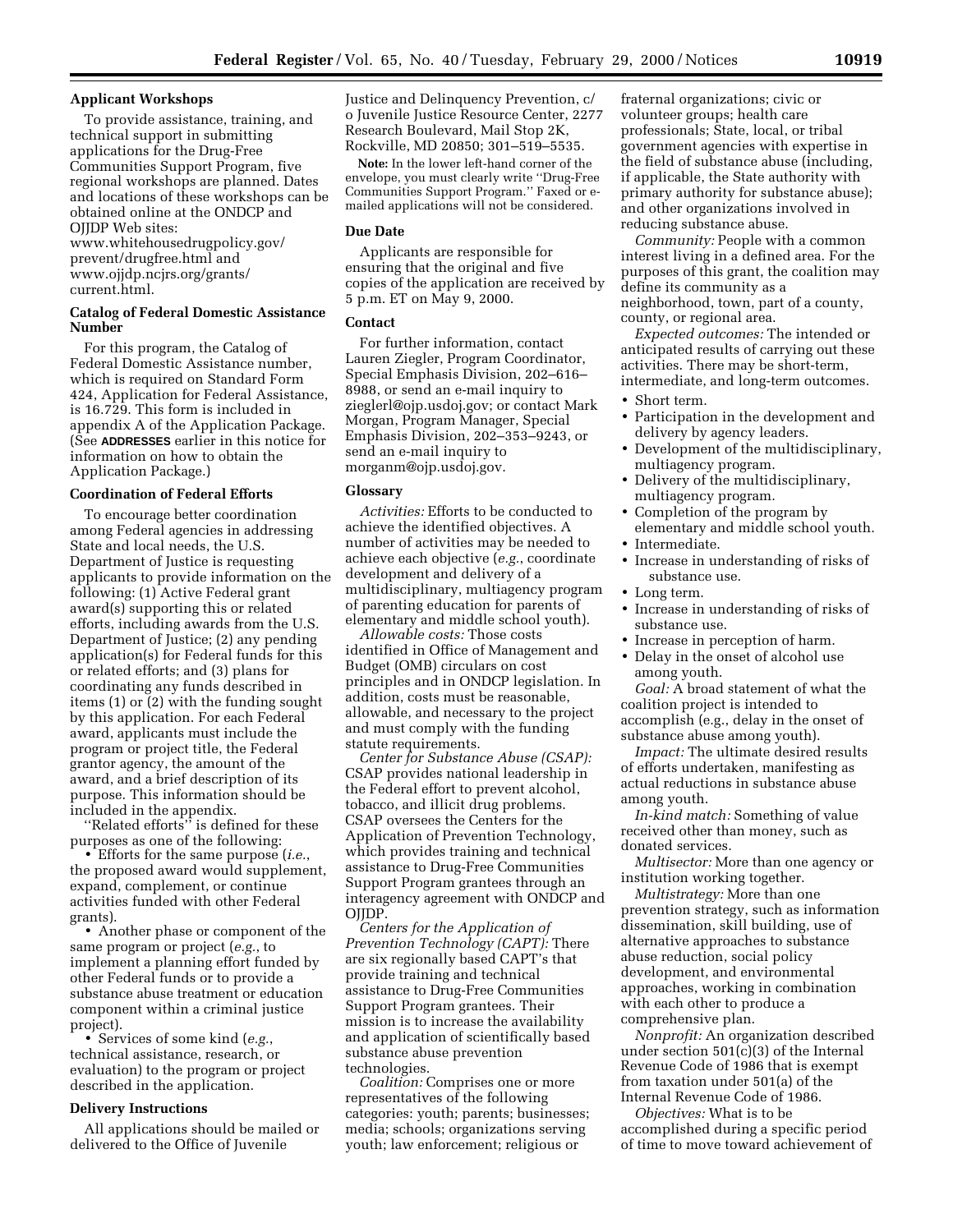## **Applicant Workshops**

To provide assistance, training, and technical support in submitting applications for the Drug-Free Communities Support Program, five regional workshops are planned. Dates and locations of these workshops can be obtained online at the ONDCP and OJJDP Web sites:

www.whitehousedrugpolicy.gov/ prevent/drugfree.html and www.ojjdp.ncjrs.org/grants/ current.html.

# **Catalog of Federal Domestic Assistance Number**

For this program, the Catalog of Federal Domestic Assistance number, which is required on Standard Form 424, Application for Federal Assistance, is 16.729. This form is included in appendix A of the Application Package. (See **ADDRESSES** earlier in this notice for information on how to obtain the Application Package.)

# **Coordination of Federal Efforts**

To encourage better coordination among Federal agencies in addressing State and local needs, the U.S. Department of Justice is requesting applicants to provide information on the following: (1) Active Federal grant award(s) supporting this or related efforts, including awards from the U.S. Department of Justice; (2) any pending application(s) for Federal funds for this or related efforts; and (3) plans for coordinating any funds described in items (1) or (2) with the funding sought by this application. For each Federal award, applicants must include the program or project title, the Federal grantor agency, the amount of the award, and a brief description of its purpose. This information should be included in the appendix.

''Related efforts'' is defined for these purposes as one of the following:

• Efforts for the same purpose (*i.e.*, the proposed award would supplement, expand, complement, or continue activities funded with other Federal grants).

• Another phase or component of the same program or project (*e.g.*, to implement a planning effort funded by other Federal funds or to provide a substance abuse treatment or education component within a criminal justice project).

• Services of some kind (*e.g.*, technical assistance, research, or evaluation) to the program or project described in the application.

# **Delivery Instructions**

All applications should be mailed or delivered to the Office of Juvenile

Justice and Delinquency Prevention, c/ o Juvenile Justice Resource Center, 2277 Research Boulevard, Mail Stop 2K, Rockville, MD 20850; 301–519–5535.

**Note:** In the lower left-hand corner of the envelope, you must clearly write ''Drug-Free Communities Support Program.'' Faxed or emailed applications will not be considered.

#### **Due Date**

Applicants are responsible for ensuring that the original and five copies of the application are received by 5 p.m. ET on May 9, 2000.

#### **Contact**

For further information, contact Lauren Ziegler, Program Coordinator, Special Emphasis Division, 202–616– 8988, or send an e-mail inquiry to zieglerl@ojp.usdoj.gov; or contact Mark Morgan, Program Manager, Special Emphasis Division, 202–353–9243, or send an e-mail inquiry to morganm@ojp.usdoj.gov.

#### **Glossary**

*Activities:* Efforts to be conducted to achieve the identified objectives. A number of activities may be needed to achieve each objective (*e.g.*, coordinate development and delivery of a multidisciplinary, multiagency program of parenting education for parents of elementary and middle school youth).

*Allowable costs:* Those costs identified in Office of Management and Budget (OMB) circulars on cost principles and in ONDCP legislation. In addition, costs must be reasonable, allowable, and necessary to the project and must comply with the funding statute requirements.

*Center for Substance Abuse (CSAP):* CSAP provides national leadership in the Federal effort to prevent alcohol, tobacco, and illicit drug problems. CSAP oversees the Centers for the Application of Prevention Technology, which provides training and technical assistance to Drug-Free Communities Support Program grantees through an interagency agreement with ONDCP and OJJDP.

*Centers for the Application of Prevention Technology (CAPT):* There are six regionally based CAPT's that provide training and technical assistance to Drug-Free Communities Support Program grantees. Their mission is to increase the availability and application of scientifically based substance abuse prevention technologies.

*Coalition:* Comprises one or more representatives of the following categories: youth; parents; businesses; media; schools; organizations serving youth; law enforcement; religious or

fraternal organizations; civic or volunteer groups; health care professionals; State, local, or tribal government agencies with expertise in the field of substance abuse (including, if applicable, the State authority with primary authority for substance abuse); and other organizations involved in reducing substance abuse.

*Community:* People with a common interest living in a defined area. For the purposes of this grant, the coalition may define its community as a neighborhood, town, part of a county, county, or regional area.

*Expected outcomes:* The intended or anticipated results of carrying out these activities. There may be short-term, intermediate, and long-term outcomes.

- Short term.
- Participation in the development and delivery by agency leaders.
- Development of the multidisciplinary, multiagency program.
- Delivery of the multidisciplinary, multiagency program.
- Completion of the program by elementary and middle school youth. • Intermediate.
- 
- Increase in understanding of risks of substance use.
- Long term.
- Increase in understanding of risks of substance use.
- Increase in perception of harm.
- Delay in the onset of alcohol use among youth.

*Goal:* A broad statement of what the coalition project is intended to accomplish (e.g., delay in the onset of substance abuse among youth).

*Impact:* The ultimate desired results of efforts undertaken, manifesting as actual reductions in substance abuse among youth.

*In-kind match:* Something of value received other than money, such as donated services.

*Multisector:* More than one agency or institution working together.

*Multistrategy:* More than one prevention strategy, such as information dissemination, skill building, use of alternative approaches to substance abuse reduction, social policy development, and environmental approaches, working in combination with each other to produce a comprehensive plan.

*Nonprofit:* An organization described under section  $501(c)(3)$  of the Internal Revenue Code of 1986 that is exempt from taxation under 501(a) of the Internal Revenue Code of 1986.

*Objectives:* What is to be accomplished during a specific period of time to move toward achievement of